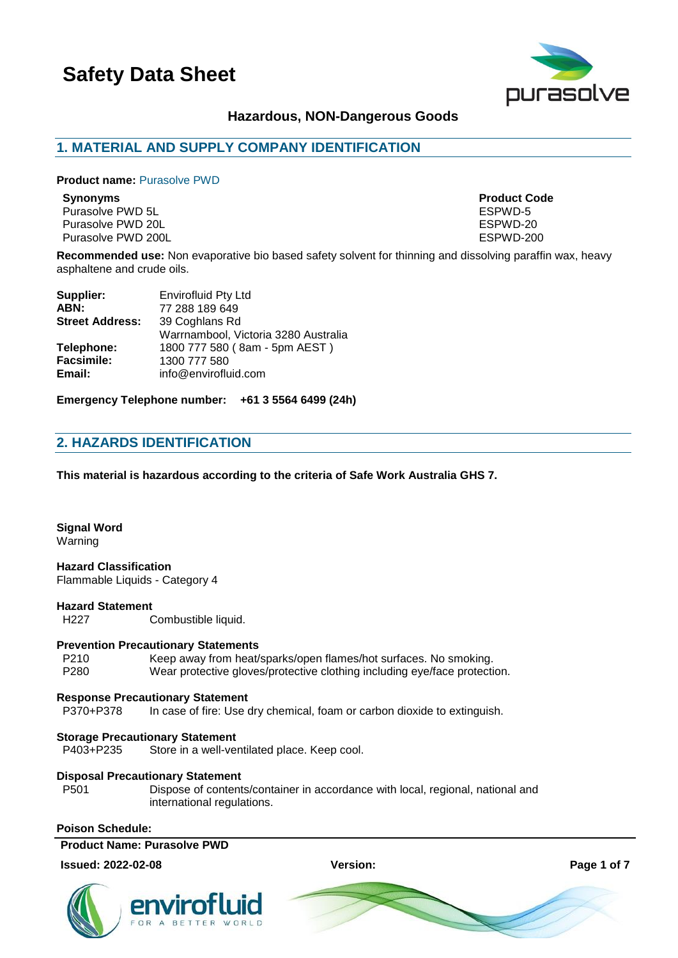

# **Hazardous, NON-Dangerous Goods**

# **1. MATERIAL AND SUPPLY COMPANY IDENTIFICATION**

#### **Product name: Purasolve PWD**

Purasolve PWD 5L<br>Purasolve PWD 20L<br>Purasolve PWD 20L Purasolve PWD 20L Purasolve PWD 200L **Purasolve PWD 200L ESPWD-200** 

**Synonyms Product Code**

**Recommended use:** Non evaporative bio based safety solvent for thinning and dissolving paraffin wax, heavy asphaltene and crude oils.

| <b>Envirofluid Pty Ltd</b>           |
|--------------------------------------|
| 77 288 189 649                       |
| 39 Coghlans Rd                       |
| Warrnambool, Victoria 3280 Australia |
| 1800 777 580 (8am - 5pm AEST)        |
| 1300 777 580                         |
| info@envirofluid.com                 |
|                                      |

**Emergency Telephone number: +61 3 5564 6499 (24h)**

# **2. HAZARDS IDENTIFICATION**

**This material is hazardous according to the criteria of Safe Work Australia GHS 7.**

# **Signal Word**

Warning

# **Hazard Classification**

Flammable Liquids - Category 4

#### **Hazard Statement**

H227 Combustible liquid.

#### **Prevention Precautionary Statements**

P210 Keep away from heat/sparks/open flames/hot surfaces. No smoking.<br>P280 Wear protective gloves/protective clothing including eve/face protective Wear protective gloves/protective clothing including eye/face protection.

#### **Response Precautionary Statement**

P370+P378 In case of fire: Use dry chemical, foam or carbon dioxide to extinguish.

#### **Storage Precautionary Statement**

P403+P235 Store in a well-ventilated place. Keep cool.

#### **Disposal Precautionary Statement**

P501 Dispose of contents/container in accordance with local, regional, national and international regulations.

### **Poison Schedule:**

### **Product Name: Purasolve PWD**

#### **Issued: 2022-02-08 Version: Page 1 of 7**



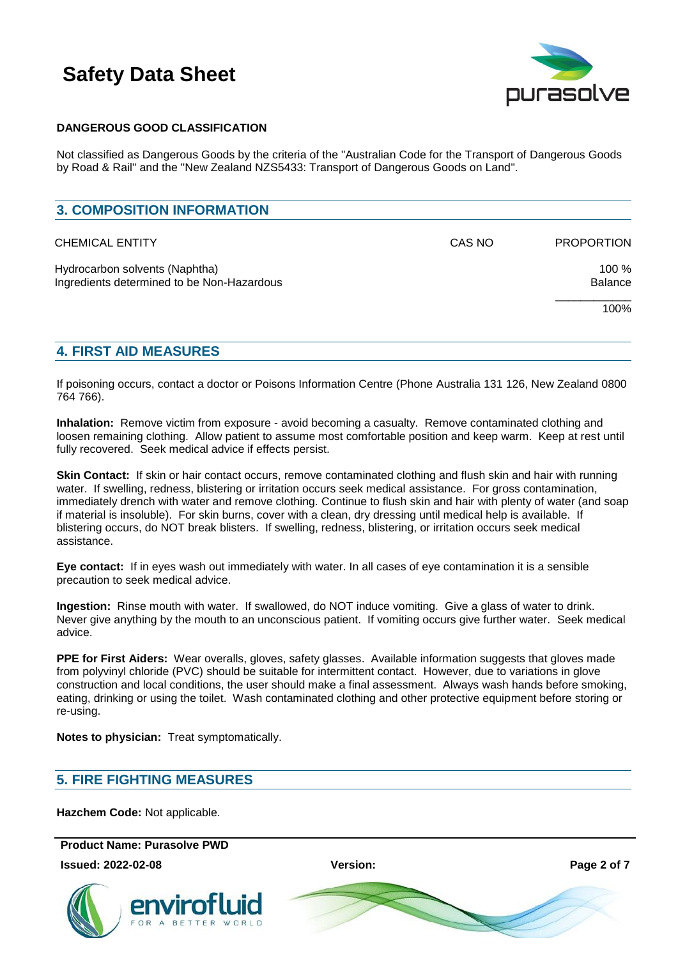

### **DANGEROUS GOOD CLASSIFICATION**

Not classified as Dangerous Goods by the criteria of the "Australian Code for the Transport of Dangerous Goods by Road & Rail" and the "New Zealand NZS5433: Transport of Dangerous Goods on Land".

| <b>3. COMPOSITION INFORMATION</b>                                            |        |                   |
|------------------------------------------------------------------------------|--------|-------------------|
| <b>CHEMICAL ENTITY</b>                                                       | CAS NO | <b>PROPORTION</b> |
| Hydrocarbon solvents (Naphtha)<br>Ingredients determined to be Non-Hazardous |        | 100 %<br>Balance  |
|                                                                              |        | 100%              |

# **4. FIRST AID MEASURES**

If poisoning occurs, contact a doctor or Poisons Information Centre (Phone Australia 131 126, New Zealand 0800 764 766).

**Inhalation:** Remove victim from exposure - avoid becoming a casualty. Remove contaminated clothing and loosen remaining clothing. Allow patient to assume most comfortable position and keep warm. Keep at rest until fully recovered. Seek medical advice if effects persist.

**Skin Contact:** If skin or hair contact occurs, remove contaminated clothing and flush skin and hair with running water. If swelling, redness, blistering or irritation occurs seek medical assistance. For gross contamination, immediately drench with water and remove clothing. Continue to flush skin and hair with plenty of water (and soap if material is insoluble). For skin burns, cover with a clean, dry dressing until medical help is available. If blistering occurs, do NOT break blisters. If swelling, redness, blistering, or irritation occurs seek medical assistance.

**Eye contact:** If in eyes wash out immediately with water. In all cases of eye contamination it is a sensible precaution to seek medical advice.

**Ingestion:** Rinse mouth with water. If swallowed, do NOT induce vomiting. Give a glass of water to drink. Never give anything by the mouth to an unconscious patient. If vomiting occurs give further water. Seek medical advice.

**PPE for First Aiders:** Wear overalls, gloves, safety glasses. Available information suggests that gloves made from polyvinyl chloride (PVC) should be suitable for intermittent contact. However, due to variations in glove construction and local conditions, the user should make a final assessment. Always wash hands before smoking, eating, drinking or using the toilet. Wash contaminated clothing and other protective equipment before storing or re-using.

**Notes to physician:** Treat symptomatically.

# **5. FIRE FIGHTING MEASURES**

**Hazchem Code:** Not applicable.

**Product Name: Purasolve PWD** 

**Issued: 2022-02-08 Version: Page 2 of 7**



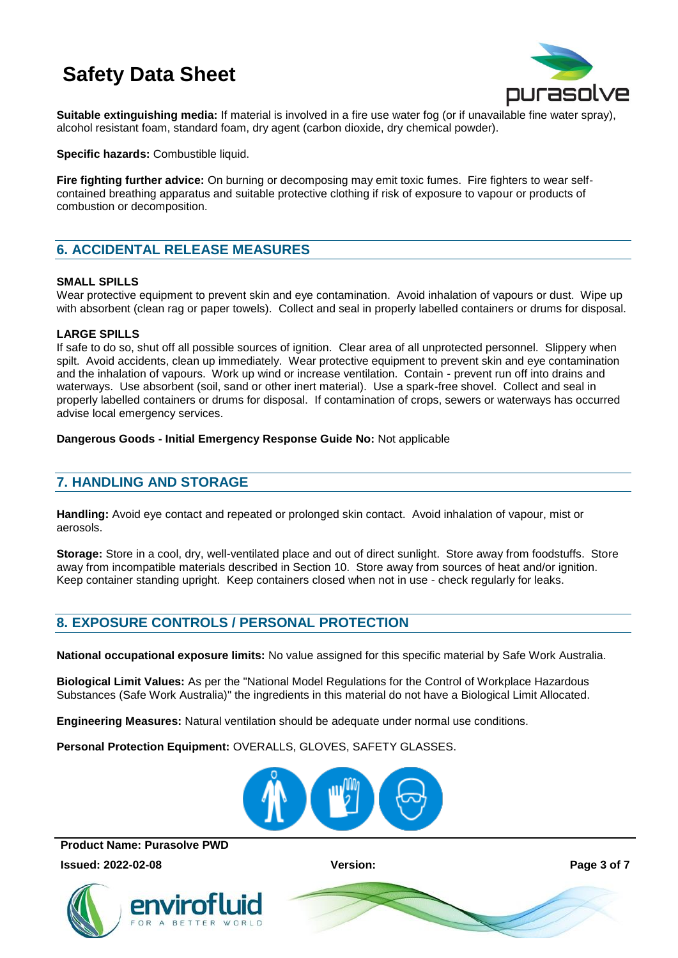

**Suitable extinguishing media:** If material is involved in a fire use water fog (or if unavailable fine water spray), alcohol resistant foam, standard foam, dry agent (carbon dioxide, dry chemical powder).

**Specific hazards:** Combustible liquid.

**Fire fighting further advice:** On burning or decomposing may emit toxic fumes. Fire fighters to wear selfcontained breathing apparatus and suitable protective clothing if risk of exposure to vapour or products of combustion or decomposition.

# **6. ACCIDENTAL RELEASE MEASURES**

### **SMALL SPILLS**

Wear protective equipment to prevent skin and eye contamination. Avoid inhalation of vapours or dust. Wipe up with absorbent (clean rag or paper towels). Collect and seal in properly labelled containers or drums for disposal.

### **LARGE SPILLS**

If safe to do so, shut off all possible sources of ignition. Clear area of all unprotected personnel. Slippery when spilt. Avoid accidents, clean up immediately. Wear protective equipment to prevent skin and eye contamination and the inhalation of vapours. Work up wind or increase ventilation. Contain - prevent run off into drains and waterways. Use absorbent (soil, sand or other inert material). Use a spark-free shovel. Collect and seal in properly labelled containers or drums for disposal. If contamination of crops, sewers or waterways has occurred advise local emergency services.

### **Dangerous Goods - Initial Emergency Response Guide No:** Not applicable

# **7. HANDLING AND STORAGE**

**Handling:** Avoid eye contact and repeated or prolonged skin contact. Avoid inhalation of vapour, mist or aerosols.

**Storage:** Store in a cool, dry, well-ventilated place and out of direct sunlight. Store away from foodstuffs. Store away from incompatible materials described in Section 10. Store away from sources of heat and/or ignition. Keep container standing upright. Keep containers closed when not in use - check regularly for leaks.

# **8. EXPOSURE CONTROLS / PERSONAL PROTECTION**

**National occupational exposure limits:** No value assigned for this specific material by Safe Work Australia.

**Biological Limit Values:** As per the "National Model Regulations for the Control of Workplace Hazardous Substances (Safe Work Australia)" the ingredients in this material do not have a Biological Limit Allocated.

**Engineering Measures:** Natural ventilation should be adequate under normal use conditions.

**Personal Protection Equipment:** OVERALLS, GLOVES, SAFETY GLASSES.



**Product Name: Purasolve PWD** 

**Issued: 2022-02-08 Version: Page 3 of 7**



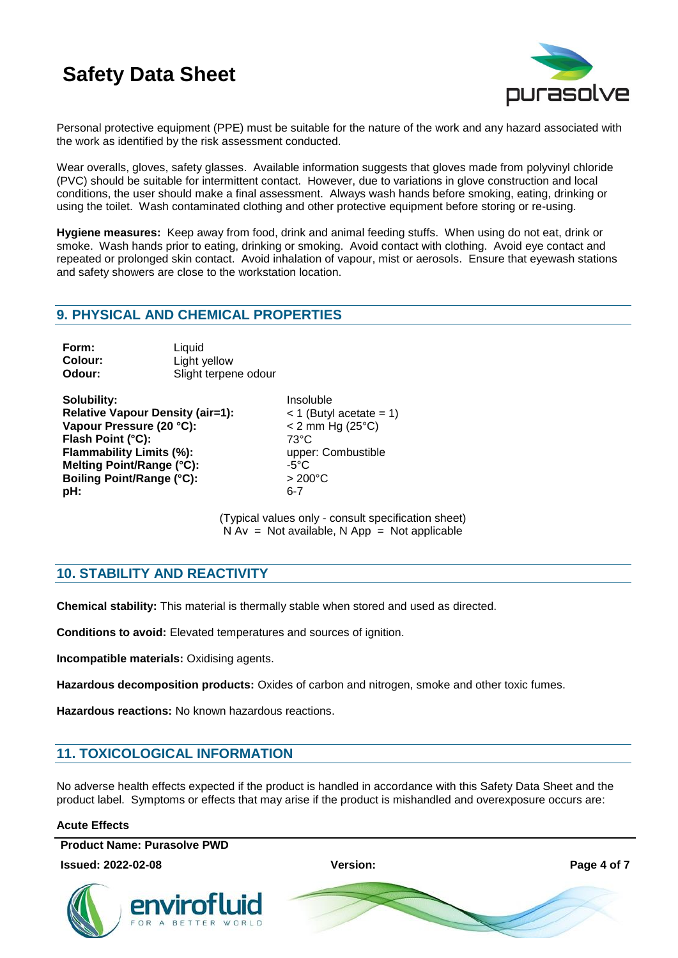

Personal protective equipment (PPE) must be suitable for the nature of the work and any hazard associated with the work as identified by the risk assessment conducted.

Wear overalls, gloves, safety glasses. Available information suggests that gloves made from polyvinyl chloride (PVC) should be suitable for intermittent contact. However, due to variations in glove construction and local conditions, the user should make a final assessment. Always wash hands before smoking, eating, drinking or using the toilet. Wash contaminated clothing and other protective equipment before storing or re-using.

**Hygiene measures:** Keep away from food, drink and animal feeding stuffs. When using do not eat, drink or smoke. Wash hands prior to eating, drinking or smoking. Avoid contact with clothing. Avoid eye contact and repeated or prolonged skin contact. Avoid inhalation of vapour, mist or aerosols. Ensure that eyewash stations and safety showers are close to the workstation location.

# **9. PHYSICAL AND CHEMICAL PROPERTIES**

| Form:   | Liquid               |
|---------|----------------------|
| Colour: | Light yellow         |
| Odour:  | Slight terpene odour |

**Solubility:** Insoluble **Relative Vapour Density (air=1):** < 1 (Butyl acetate = 1) **Vapour Pressure (20 °C):** < 2 mm Hg (25°C) Flash Point (°C): 73°C **Flammability Limits (%):** upper: Combustible **Melting Point/Range (°C):**  $-5^{\circ}$ C **Boiling Point/Range (°C):** > 200°C **pH:** 6-7

(Typical values only - consult specification sheet)  $N Av = Not available, N App = Not applicable$ 

# **10. STABILITY AND REACTIVITY**

**Chemical stability:** This material is thermally stable when stored and used as directed.

**Conditions to avoid:** Elevated temperatures and sources of ignition.

**Incompatible materials:** Oxidising agents.

**Hazardous decomposition products:** Oxides of carbon and nitrogen, smoke and other toxic fumes.

**Hazardous reactions:** No known hazardous reactions.

# **11. TOXICOLOGICAL INFORMATION**

No adverse health effects expected if the product is handled in accordance with this Safety Data Sheet and the product label. Symptoms or effects that may arise if the product is mishandled and overexposure occurs are:

### **Acute Effects**

**Product Name: Purasolve PWD** 

**Issued: 2022-02-08 Version: Page 4 of 7**



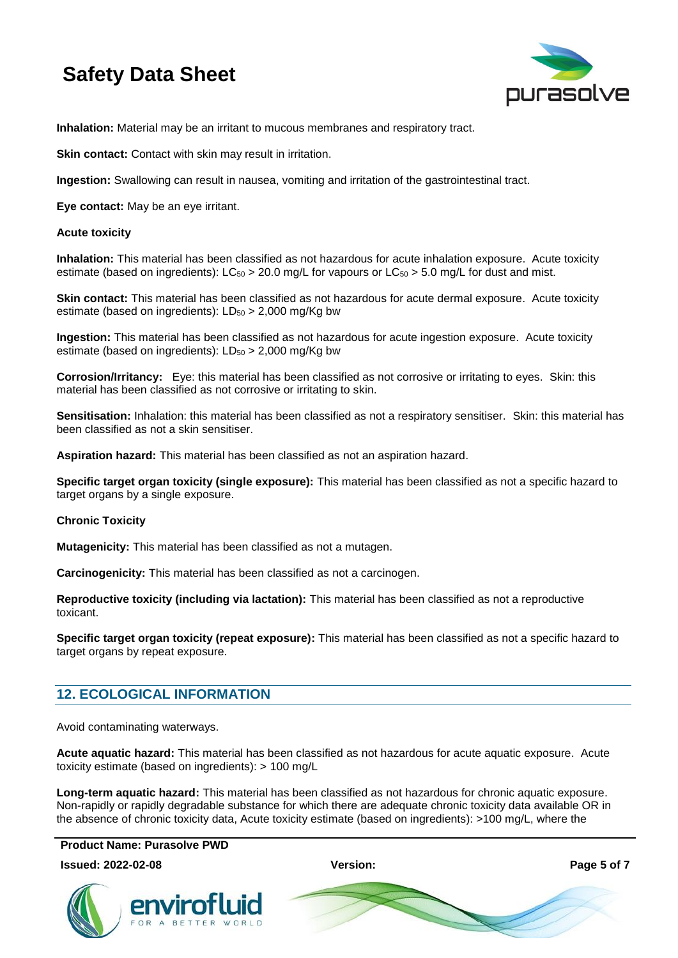

**Inhalation:** Material may be an irritant to mucous membranes and respiratory tract.

**Skin contact:** Contact with skin may result in irritation.

**Ingestion:** Swallowing can result in nausea, vomiting and irritation of the gastrointestinal tract.

**Eye contact:** May be an eye irritant.

### **Acute toxicity**

**Inhalation:** This material has been classified as not hazardous for acute inhalation exposure. Acute toxicity estimate (based on ingredients):  $LC_{50} > 20.0$  mg/L for vapours or  $LC_{50} > 5.0$  mg/L for dust and mist.

**Skin contact:** This material has been classified as not hazardous for acute dermal exposure. Acute toxicity estimate (based on ingredients):  $LD_{50} > 2,000$  mg/Kg bw

**Ingestion:** This material has been classified as not hazardous for acute ingestion exposure. Acute toxicity estimate (based on ingredients):  $LD_{50} > 2,000$  mg/Kg bw

**Corrosion/Irritancy:** Eye: this material has been classified as not corrosive or irritating to eyes. Skin: this material has been classified as not corrosive or irritating to skin.

**Sensitisation:** Inhalation: this material has been classified as not a respiratory sensitiser. Skin: this material has been classified as not a skin sensitiser.

**Aspiration hazard:** This material has been classified as not an aspiration hazard.

**Specific target organ toxicity (single exposure):** This material has been classified as not a specific hazard to target organs by a single exposure.

### **Chronic Toxicity**

**Mutagenicity:** This material has been classified as not a mutagen.

**Carcinogenicity:** This material has been classified as not a carcinogen.

**Reproductive toxicity (including via lactation):** This material has been classified as not a reproductive toxicant.

**Specific target organ toxicity (repeat exposure):** This material has been classified as not a specific hazard to target organs by repeat exposure.

# **12. ECOLOGICAL INFORMATION**

Avoid contaminating waterways.

**Acute aquatic hazard:** This material has been classified as not hazardous for acute aquatic exposure. Acute toxicity estimate (based on ingredients): > 100 mg/L

**Long-term aquatic hazard:** This material has been classified as not hazardous for chronic aquatic exposure. Non-rapidly or rapidly degradable substance for which there are adequate chronic toxicity data available OR in the absence of chronic toxicity data, Acute toxicity estimate (based on ingredients): >100 mg/L, where the

**Product Name: Purasolve PWD** 



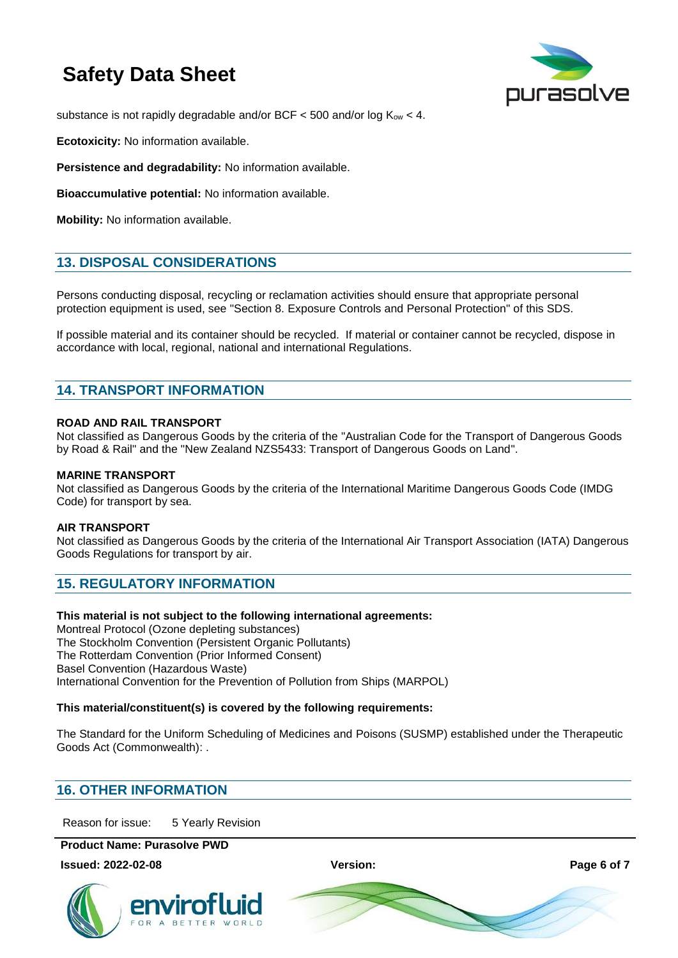

substance is not rapidly degradable and/or BCF  $<$  500 and/or log  $K_{ow}$   $<$  4.

**Ecotoxicity:** No information available.

**Persistence and degradability:** No information available.

**Bioaccumulative potential:** No information available.

**Mobility:** No information available.

# **13. DISPOSAL CONSIDERATIONS**

Persons conducting disposal, recycling or reclamation activities should ensure that appropriate personal protection equipment is used, see "Section 8. Exposure Controls and Personal Protection" of this SDS.

If possible material and its container should be recycled. If material or container cannot be recycled, dispose in accordance with local, regional, national and international Regulations.

# **14. TRANSPORT INFORMATION**

### **ROAD AND RAIL TRANSPORT**

Not classified as Dangerous Goods by the criteria of the "Australian Code for the Transport of Dangerous Goods by Road & Rail" and the "New Zealand NZS5433: Transport of Dangerous Goods on Land".

### **MARINE TRANSPORT**

Not classified as Dangerous Goods by the criteria of the International Maritime Dangerous Goods Code (IMDG Code) for transport by sea.

### **AIR TRANSPORT**

Not classified as Dangerous Goods by the criteria of the International Air Transport Association (IATA) Dangerous Goods Regulations for transport by air.

# **15. REGULATORY INFORMATION**

### **This material is not subject to the following international agreements:**

Montreal Protocol (Ozone depleting substances) The Stockholm Convention (Persistent Organic Pollutants) The Rotterdam Convention (Prior Informed Consent) Basel Convention (Hazardous Waste) International Convention for the Prevention of Pollution from Ships (MARPOL)

### **This material/constituent(s) is covered by the following requirements:**

The Standard for the Uniform Scheduling of Medicines and Poisons (SUSMP) established under the Therapeutic Goods Act (Commonwealth): .

# **16. OTHER INFORMATION**

Reason for issue: 5 Yearly Revision

**Product Name: Purasolve PWD** 

**Issued: 2022-02-08 Version: Page 6 of 7**